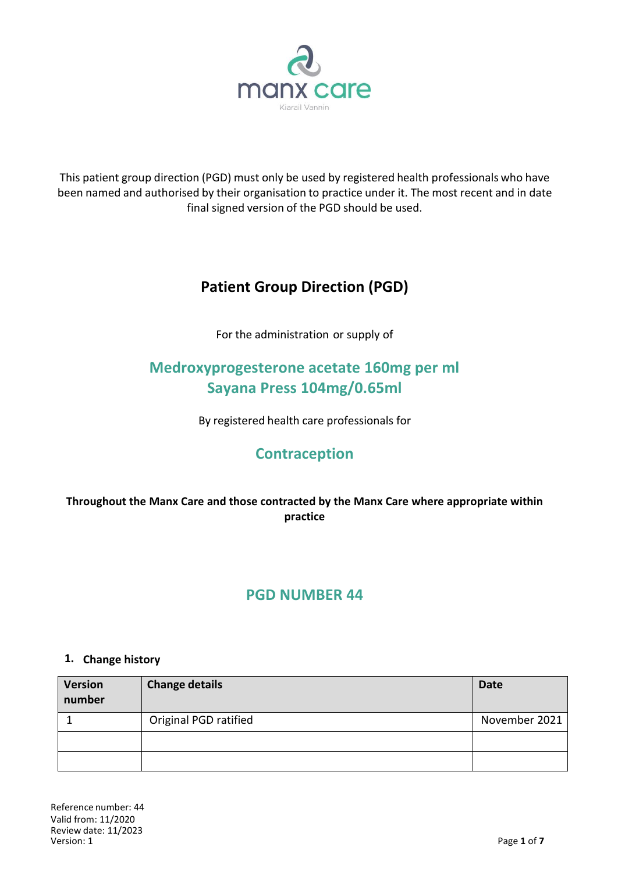

This patient group direction (PGD) must only be used by registered health professionals who have been named and authorised by their organisation to practice under it. The most recent and in date final signed version of the PGD should be used.

# **Patient Group Direction (PGD)**

For the administration or supply of

# **Medroxyprogesterone acetate 160mg per ml Sayana Press 104mg/0.65ml**

By registered health care professionals for

## **Contraception**

### **Throughout the Manx Care and those contracted by the Manx Care where appropriate within practice**

## **PGD NUMBER 44**

### **1. Change history**

| <b>Version</b><br>number | <b>Change details</b> | <b>Date</b>   |
|--------------------------|-----------------------|---------------|
|                          | Original PGD ratified | November 2021 |
|                          |                       |               |
|                          |                       |               |

Reference number: 44 Valid from: 11/2020 Review date: 11/2023<br>Version: 1  $V$ ersion: 1  $P$ age **1** of **7**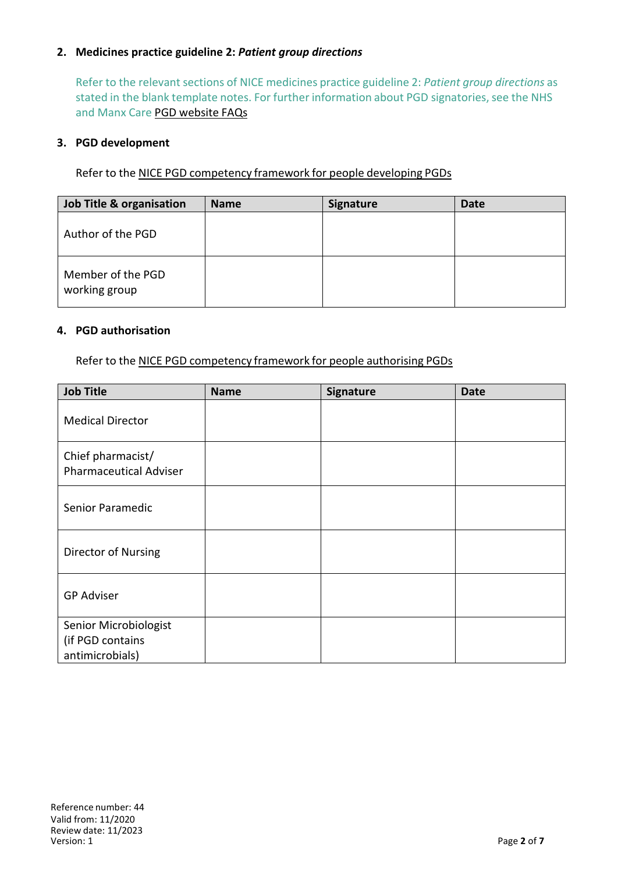### **2. Medicines practice guideline 2:** *Patient group directions*

Refer to the relevant sections of NICE medicines practice guideline 2: *Patient group directions* as stated in the blank template notes. For further information about PGD signatories, see the NHS and Manx Care PGD website FAQs

#### **3. PGD development**

Refer to the NICE PGD competency framework for people developing PGDs

| Job Title & organisation           | <b>Name</b> | <b>Signature</b> | <b>Date</b> |
|------------------------------------|-------------|------------------|-------------|
| Author of the PGD                  |             |                  |             |
| Member of the PGD<br>working group |             |                  |             |

#### **4. PGD authorisation**

Refer to the NICE PGD competency framework for people authorising PGDs

| <b>Job Title</b>                                             | <b>Name</b> | Signature | <b>Date</b> |
|--------------------------------------------------------------|-------------|-----------|-------------|
| <b>Medical Director</b>                                      |             |           |             |
| Chief pharmacist/<br><b>Pharmaceutical Adviser</b>           |             |           |             |
| Senior Paramedic                                             |             |           |             |
| Director of Nursing                                          |             |           |             |
| <b>GP Adviser</b>                                            |             |           |             |
| Senior Microbiologist<br>(if PGD contains<br>antimicrobials) |             |           |             |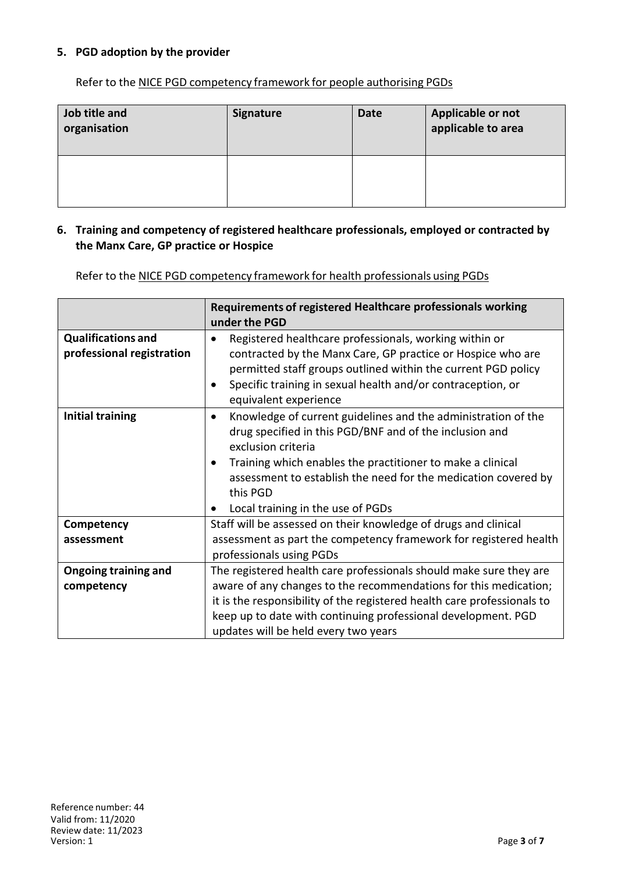### **5. PGD adoption by the provider**

Refer to the NICE PGD competency framework for people authorising PGDs

| Job title and<br>organisation | <b>Signature</b> | <b>Date</b> | Applicable or not<br>applicable to area |
|-------------------------------|------------------|-------------|-----------------------------------------|
|                               |                  |             |                                         |

#### **6. Training and competency of registered healthcare professionals, employed or contracted by the Manx Care, GP practice or Hospice**

Refer to the NICE PGD competency framework for health professionals using PGDs

|                                                        | Requirements of registered Healthcare professionals working<br>under the PGD                                                                                                                                                                                                                                                                              |  |
|--------------------------------------------------------|-----------------------------------------------------------------------------------------------------------------------------------------------------------------------------------------------------------------------------------------------------------------------------------------------------------------------------------------------------------|--|
| <b>Qualifications and</b><br>professional registration | Registered healthcare professionals, working within or<br>contracted by the Manx Care, GP practice or Hospice who are<br>permitted staff groups outlined within the current PGD policy<br>Specific training in sexual health and/or contraception, or<br>equivalent experience                                                                            |  |
| <b>Initial training</b>                                | Knowledge of current guidelines and the administration of the<br>$\bullet$<br>drug specified in this PGD/BNF and of the inclusion and<br>exclusion criteria<br>Training which enables the practitioner to make a clinical<br>assessment to establish the need for the medication covered by<br>this PGD<br>Local training in the use of PGDs<br>$\bullet$ |  |
| Competency                                             | Staff will be assessed on their knowledge of drugs and clinical                                                                                                                                                                                                                                                                                           |  |
| assessment                                             | assessment as part the competency framework for registered health<br>professionals using PGDs                                                                                                                                                                                                                                                             |  |
| <b>Ongoing training and</b>                            | The registered health care professionals should make sure they are                                                                                                                                                                                                                                                                                        |  |
| competency                                             | aware of any changes to the recommendations for this medication;                                                                                                                                                                                                                                                                                          |  |
|                                                        | it is the responsibility of the registered health care professionals to                                                                                                                                                                                                                                                                                   |  |
|                                                        | keep up to date with continuing professional development. PGD                                                                                                                                                                                                                                                                                             |  |
|                                                        | updates will be held every two years                                                                                                                                                                                                                                                                                                                      |  |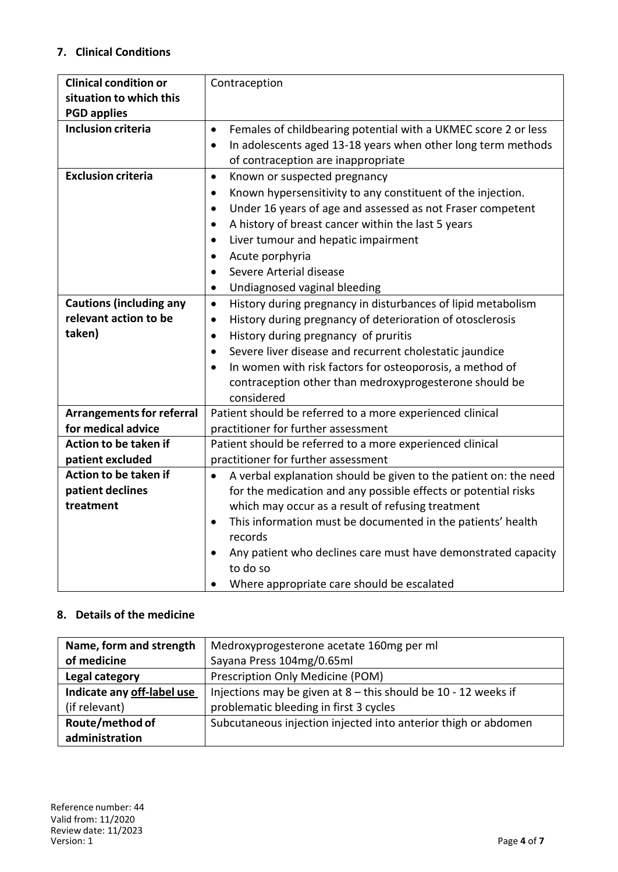### **7. Clinical Conditions**

| <b>Clinical condition or</b>     | Contraception                                                                 |  |
|----------------------------------|-------------------------------------------------------------------------------|--|
| situation to which this          |                                                                               |  |
| <b>PGD applies</b>               |                                                                               |  |
| <b>Inclusion criteria</b>        | Females of childbearing potential with a UKMEC score 2 or less<br>$\bullet$   |  |
|                                  | In adolescents aged 13-18 years when other long term methods<br>$\bullet$     |  |
|                                  | of contraception are inappropriate                                            |  |
| <b>Exclusion criteria</b>        | Known or suspected pregnancy<br>$\bullet$                                     |  |
|                                  | Known hypersensitivity to any constituent of the injection.<br>$\bullet$      |  |
|                                  | Under 16 years of age and assessed as not Fraser competent<br>$\bullet$       |  |
|                                  | A history of breast cancer within the last 5 years<br>$\bullet$               |  |
|                                  | Liver tumour and hepatic impairment<br>$\bullet$                              |  |
|                                  | Acute porphyria<br>$\bullet$                                                  |  |
|                                  | Severe Arterial disease<br>$\bullet$                                          |  |
|                                  | Undiagnosed vaginal bleeding<br>$\bullet$                                     |  |
| <b>Cautions (including any</b>   | History during pregnancy in disturbances of lipid metabolism<br>$\bullet$     |  |
| relevant action to be            | History during pregnancy of deterioration of otosclerosis<br>$\bullet$        |  |
| taken)                           | History during pregnancy of pruritis<br>$\bullet$                             |  |
|                                  | Severe liver disease and recurrent cholestatic jaundice<br>$\bullet$          |  |
|                                  | In women with risk factors for osteoporosis, a method of<br>$\bullet$         |  |
|                                  | contraception other than medroxyprogesterone should be                        |  |
|                                  | considered                                                                    |  |
| <b>Arrangements for referral</b> | Patient should be referred to a more experienced clinical                     |  |
| for medical advice               | practitioner for further assessment                                           |  |
| Action to be taken if            | Patient should be referred to a more experienced clinical                     |  |
| patient excluded                 | practitioner for further assessment                                           |  |
| Action to be taken if            | A verbal explanation should be given to the patient on: the need<br>$\bullet$ |  |
| patient declines                 | for the medication and any possible effects or potential risks                |  |
| treatment                        | which may occur as a result of refusing treatment                             |  |
|                                  | This information must be documented in the patients' health<br>$\bullet$      |  |
|                                  | records                                                                       |  |
|                                  | Any patient who declines care must have demonstrated capacity                 |  |
|                                  | to do so                                                                      |  |
|                                  | Where appropriate care should be escalated                                    |  |

### **8. Details of the medicine**

| Name, form and strength    | Medroxyprogesterone acetate 160mg per ml                         |
|----------------------------|------------------------------------------------------------------|
| of medicine                | Sayana Press 104mg/0.65ml                                        |
| Legal category             | Prescription Only Medicine (POM)                                 |
| Indicate any off-label use | Injections may be given at $8$ – this should be 10 - 12 weeks if |
| (if relevant)              | problematic bleeding in first 3 cycles                           |
| Route/method of            | Subcutaneous injection injected into anterior thigh or abdomen   |
| administration             |                                                                  |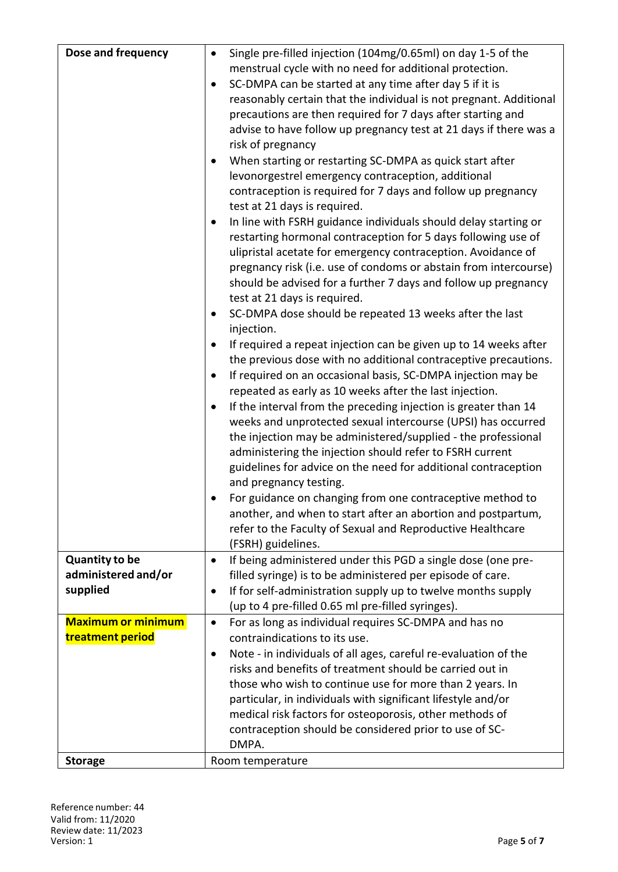| Dose and frequency                            | Single pre-filled injection (104mg/0.65ml) on day 1-5 of the<br>$\bullet$<br>menstrual cycle with no need for additional protection.<br>SC-DMPA can be started at any time after day 5 if it is<br>$\bullet$<br>reasonably certain that the individual is not pregnant. Additional<br>precautions are then required for 7 days after starting and<br>advise to have follow up pregnancy test at 21 days if there was a<br>risk of pregnancy<br>When starting or restarting SC-DMPA as quick start after<br>$\bullet$<br>levonorgestrel emergency contraception, additional<br>contraception is required for 7 days and follow up pregnancy<br>test at 21 days is required.<br>In line with FSRH guidance individuals should delay starting or<br>$\bullet$<br>restarting hormonal contraception for 5 days following use of<br>ulipristal acetate for emergency contraception. Avoidance of<br>pregnancy risk (i.e. use of condoms or abstain from intercourse)<br>should be advised for a further 7 days and follow up pregnancy<br>test at 21 days is required.<br>SC-DMPA dose should be repeated 13 weeks after the last<br>$\bullet$<br>injection.<br>If required a repeat injection can be given up to 14 weeks after<br>$\bullet$<br>the previous dose with no additional contraceptive precautions.<br>If required on an occasional basis, SC-DMPA injection may be<br>$\bullet$<br>repeated as early as 10 weeks after the last injection.<br>If the interval from the preceding injection is greater than 14<br>٠<br>weeks and unprotected sexual intercourse (UPSI) has occurred<br>the injection may be administered/supplied - the professional<br>administering the injection should refer to FSRH current<br>guidelines for advice on the need for additional contraception<br>and pregnancy testing.<br>For guidance on changing from one contraceptive method to<br>another, and when to start after an abortion and postpartum,<br>refer to the Faculty of Sexual and Reproductive Healthcare |
|-----------------------------------------------|-----------------------------------------------------------------------------------------------------------------------------------------------------------------------------------------------------------------------------------------------------------------------------------------------------------------------------------------------------------------------------------------------------------------------------------------------------------------------------------------------------------------------------------------------------------------------------------------------------------------------------------------------------------------------------------------------------------------------------------------------------------------------------------------------------------------------------------------------------------------------------------------------------------------------------------------------------------------------------------------------------------------------------------------------------------------------------------------------------------------------------------------------------------------------------------------------------------------------------------------------------------------------------------------------------------------------------------------------------------------------------------------------------------------------------------------------------------------------------------------------------------------------------------------------------------------------------------------------------------------------------------------------------------------------------------------------------------------------------------------------------------------------------------------------------------------------------------------------------------------------------------------------------------------------------------------------------------------------------------------------------------------|
| <b>Quantity to be</b><br>administered and/or  | (FSRH) guidelines.<br>If being administered under this PGD a single dose (one pre-<br>$\bullet$<br>filled syringe) is to be administered per episode of care.                                                                                                                                                                                                                                                                                                                                                                                                                                                                                                                                                                                                                                                                                                                                                                                                                                                                                                                                                                                                                                                                                                                                                                                                                                                                                                                                                                                                                                                                                                                                                                                                                                                                                                                                                                                                                                                   |
| supplied                                      | If for self-administration supply up to twelve months supply<br>(up to 4 pre-filled 0.65 ml pre-filled syringes).                                                                                                                                                                                                                                                                                                                                                                                                                                                                                                                                                                                                                                                                                                                                                                                                                                                                                                                                                                                                                                                                                                                                                                                                                                                                                                                                                                                                                                                                                                                                                                                                                                                                                                                                                                                                                                                                                               |
| <b>Maximum or minimum</b><br>treatment period | For as long as individual requires SC-DMPA and has no<br>$\bullet$<br>contraindications to its use.                                                                                                                                                                                                                                                                                                                                                                                                                                                                                                                                                                                                                                                                                                                                                                                                                                                                                                                                                                                                                                                                                                                                                                                                                                                                                                                                                                                                                                                                                                                                                                                                                                                                                                                                                                                                                                                                                                             |
|                                               | Note - in individuals of all ages, careful re-evaluation of the<br>٠                                                                                                                                                                                                                                                                                                                                                                                                                                                                                                                                                                                                                                                                                                                                                                                                                                                                                                                                                                                                                                                                                                                                                                                                                                                                                                                                                                                                                                                                                                                                                                                                                                                                                                                                                                                                                                                                                                                                            |
|                                               | risks and benefits of treatment should be carried out in<br>those who wish to continue use for more than 2 years. In                                                                                                                                                                                                                                                                                                                                                                                                                                                                                                                                                                                                                                                                                                                                                                                                                                                                                                                                                                                                                                                                                                                                                                                                                                                                                                                                                                                                                                                                                                                                                                                                                                                                                                                                                                                                                                                                                            |
|                                               | particular, in individuals with significant lifestyle and/or                                                                                                                                                                                                                                                                                                                                                                                                                                                                                                                                                                                                                                                                                                                                                                                                                                                                                                                                                                                                                                                                                                                                                                                                                                                                                                                                                                                                                                                                                                                                                                                                                                                                                                                                                                                                                                                                                                                                                    |
|                                               | medical risk factors for osteoporosis, other methods of                                                                                                                                                                                                                                                                                                                                                                                                                                                                                                                                                                                                                                                                                                                                                                                                                                                                                                                                                                                                                                                                                                                                                                                                                                                                                                                                                                                                                                                                                                                                                                                                                                                                                                                                                                                                                                                                                                                                                         |
|                                               | contraception should be considered prior to use of SC-<br>DMPA.                                                                                                                                                                                                                                                                                                                                                                                                                                                                                                                                                                                                                                                                                                                                                                                                                                                                                                                                                                                                                                                                                                                                                                                                                                                                                                                                                                                                                                                                                                                                                                                                                                                                                                                                                                                                                                                                                                                                                 |
| <b>Storage</b>                                | Room temperature                                                                                                                                                                                                                                                                                                                                                                                                                                                                                                                                                                                                                                                                                                                                                                                                                                                                                                                                                                                                                                                                                                                                                                                                                                                                                                                                                                                                                                                                                                                                                                                                                                                                                                                                                                                                                                                                                                                                                                                                |
|                                               |                                                                                                                                                                                                                                                                                                                                                                                                                                                                                                                                                                                                                                                                                                                                                                                                                                                                                                                                                                                                                                                                                                                                                                                                                                                                                                                                                                                                                                                                                                                                                                                                                                                                                                                                                                                                                                                                                                                                                                                                                 |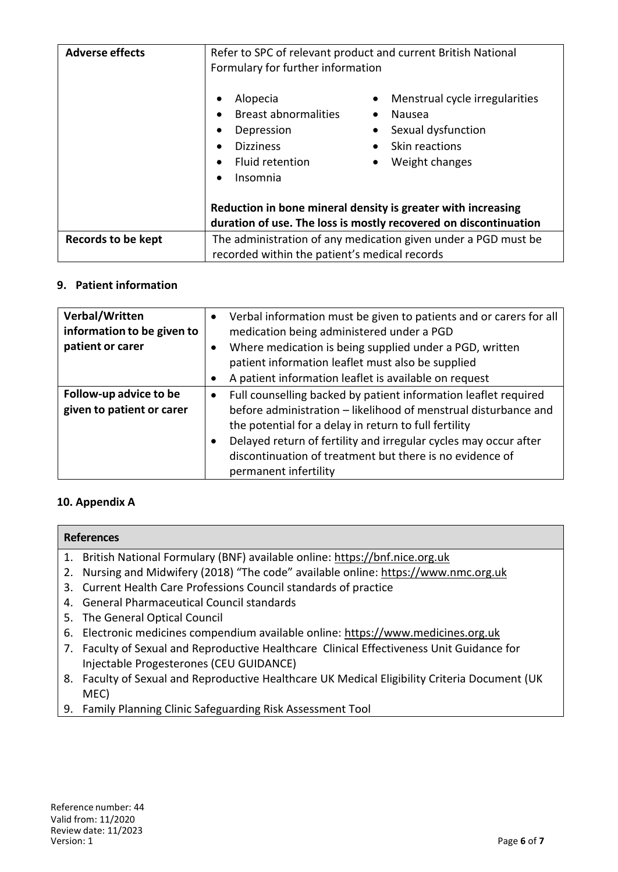| <b>Adverse effects</b> | Refer to SPC of relevant product and current British National<br>Formulary for further information<br>Menstrual cycle irregularities<br>Alopecia |  |  |
|------------------------|--------------------------------------------------------------------------------------------------------------------------------------------------|--|--|
|                        | <b>Breast abnormalities</b><br>Nausea<br>$\bullet$                                                                                               |  |  |
|                        | Sexual dysfunction<br>Depression                                                                                                                 |  |  |
|                        | <b>Dizziness</b><br>Skin reactions<br>$\bullet$                                                                                                  |  |  |
|                        | Fluid retention<br>Weight changes                                                                                                                |  |  |
|                        | Insomnia<br>$\bullet$                                                                                                                            |  |  |
|                        | Reduction in bone mineral density is greater with increasing<br>duration of use. The loss is mostly recovered on discontinuation                 |  |  |
| Records to be kept     | The administration of any medication given under a PGD must be                                                                                   |  |  |
|                        | recorded within the patient's medical records                                                                                                    |  |  |

#### **9. Patient information**

| Verbal/Written<br>information to be given to<br>patient or carer |           | Verbal information must be given to patients and or carers for all<br>medication being administered under a PGD<br>Where medication is being supplied under a PGD, written<br>patient information leaflet must also be supplied<br>A patient information leaflet is available on request                                                             |
|------------------------------------------------------------------|-----------|------------------------------------------------------------------------------------------------------------------------------------------------------------------------------------------------------------------------------------------------------------------------------------------------------------------------------------------------------|
| Follow-up advice to be<br>given to patient or carer              | $\bullet$ | Full counselling backed by patient information leaflet required<br>before administration - likelihood of menstrual disturbance and<br>the potential for a delay in return to full fertility<br>Delayed return of fertility and irregular cycles may occur after<br>discontinuation of treatment but there is no evidence of<br>permanent infertility |

### **10. Appendix A**

| <b>References</b>                                                                   |  |  |
|-------------------------------------------------------------------------------------|--|--|
| 1. British National Formulary (BNF) available online: https://bnf.nice.org.uk       |  |  |
| 2. Nursing and Midwifery (2018) "The code" available online: https://www.nmc.org.uk |  |  |
| 3. Current Health Care Professions Council standards of practice                    |  |  |
| 4. General Pharmaceutical Council standards                                         |  |  |
| <b>E</b> The Coneral Optical Council                                                |  |  |

- 5. The General Optical Council
- 6. Electronic medicines compendium available online: https://www.medicines.org.uk
- 7. Faculty of Sexual and Reproductive Healthcare Clinical Effectiveness Unit Guidance for Injectable Progesterones (CEU GUIDANCE)
- 8. Faculty of Sexual and Reproductive Healthcare UK Medical Eligibility Criteria Document (UK MEC)
- 9. Family Planning Clinic Safeguarding Risk Assessment Tool